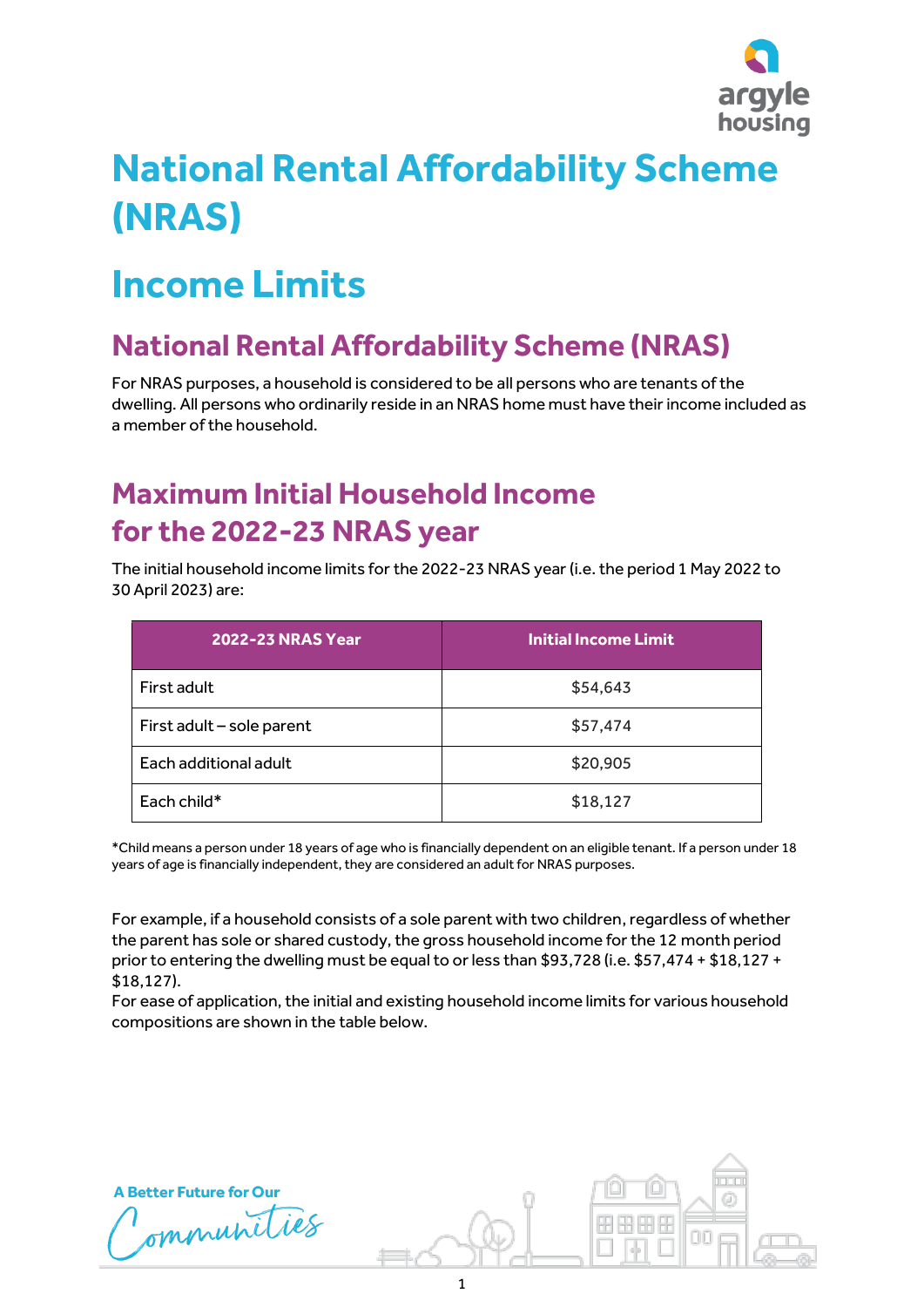

## **National Rental Affordability Scheme (NRAS)**

## **Income Limits**

## **National Rental Affordability Scheme (NRAS)**

For NRAS purposes, a household is considered to be all persons who are tenants of the dwelling. All persons who ordinarily reside in an NRAS home must have their income included as a member of the household.

## **Maximum Initial Household Income for the 2022-23 NRAS year**

The initial household income limits for the 2022-23 NRAS year (i.e. the period 1 May 2022 to 30 April 2023) are:

| <b>2022-23 NRAS Year</b>  | <b>Initial Income Limit</b> |
|---------------------------|-----------------------------|
| First adult               | \$54,643                    |
| First adult - sole parent | \$57,474                    |
| Each additional adult     | \$20,905                    |
| Each child*               | \$18,127                    |

\*Child means a person under 18 years of age who is financially dependent on an eligible tenant. If a person under 18 years of age is financially independent, they are considered an adult for NRAS purposes.

For example, if a household consists of a sole parent with two children, regardless of whether the parent has sole or shared custody, the gross household income for the 12 month period prior to entering the dwelling must be equal to or less than \$93,728 (i.e. \$57,474 + \$18,127 + \$18,127).

For ease of application, the initial and existing household income limits for various household compositions are shown in the table below.

**A Better Future for Our** 

ommunities